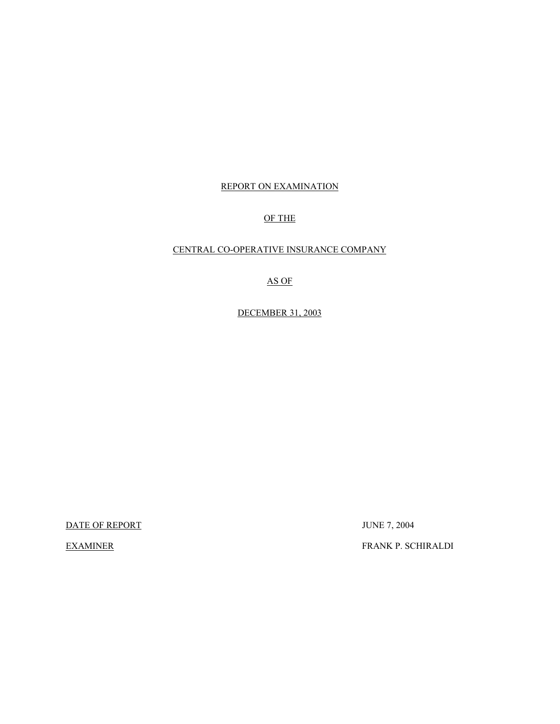## REPORT ON EXAMINATION

## OF THE

## CENTRAL CO-OPERATIVE INSURANCE COMPANY

## AS OF

## DECEMBER 31, 2003

DATE OF REPORT JUNE 7, 2004

EXAMINER FRANK P. SCHIRALDI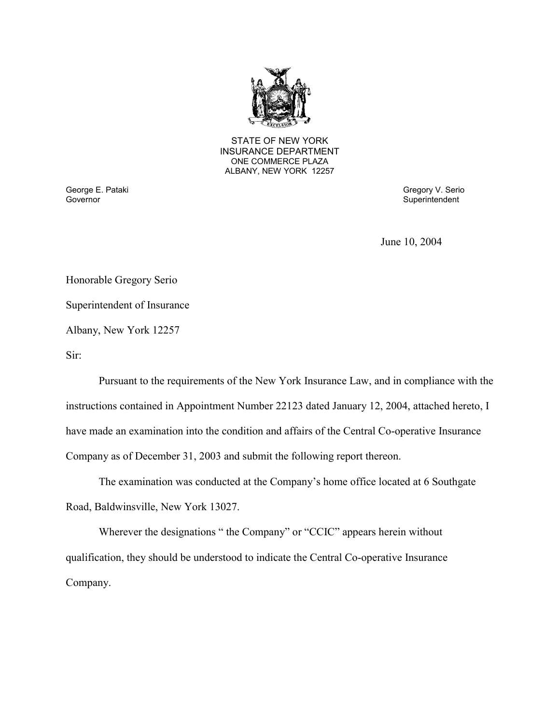

STATE OF NEW YORK INSURANCE DEPARTMENT ONE COMMERCE PLAZA ALBANY, NEW YORK 12257

George E. Pataki Gregory V. Serio George E. Pataki Gregory V. Serio Gregory V. Serio Gregory V. Serio Gregory V. Serio Gregory V. Serio Gregory V. Serio Gregory V. Serio Gregory V. Serio Gregory Gregory Gregory Gregory Gre

Superintendent

June 10, 2004

Honorable Gregory Serio

Superintendent of Insurance

Albany, New York 12257

Sir:

Pursuant to the requirements of the New York Insurance Law, and in compliance with the instructions contained in Appointment Number 22123 dated January 12, 2004, attached hereto, I have made an examination into the condition and affairs of the Central Co-operative Insurance Company as of December 31, 2003 and submit the following report thereon.

The examination was conducted at the Company's home office located at 6 Southgate Road, Baldwinsville, New York 13027.

Wherever the designations " the Company" or "CCIC" appears herein without qualification, they should be understood to indicate the Central Co-operative Insurance Company.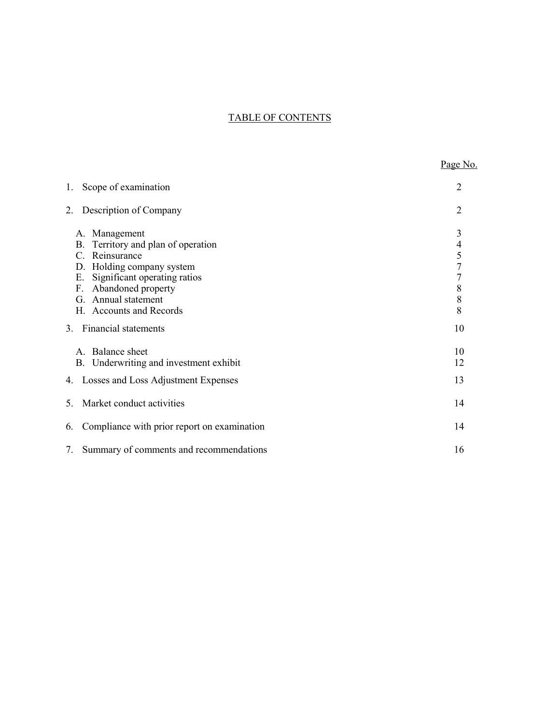## TABLE OF CONTENTS

|                                                                                                                                                                                                                                    | Page No.                                                                              |
|------------------------------------------------------------------------------------------------------------------------------------------------------------------------------------------------------------------------------------|---------------------------------------------------------------------------------------|
| Scope of examination<br>1.                                                                                                                                                                                                         | 2                                                                                     |
| Description of Company<br>2.                                                                                                                                                                                                       | $\overline{2}$                                                                        |
| A. Management<br>Territory and plan of operation<br>B.<br>Reinsurance<br>C.<br>Holding company system<br>D.<br>Significant operating ratios<br>Е.<br>Abandoned property<br>F.<br>Annual statement<br>G.<br>H. Accounts and Records | 3<br>$\overline{\mathcal{L}}$<br>5<br>$\overline{7}$<br>$\overline{7}$<br>8<br>8<br>8 |
| 3. Financial statements                                                                                                                                                                                                            | 10                                                                                    |
| Balance sheet<br>$\mathsf{A}$<br>Underwriting and investment exhibit<br>B.                                                                                                                                                         | 10<br>12                                                                              |
| 4. Losses and Loss Adjustment Expenses                                                                                                                                                                                             | 13                                                                                    |
| Market conduct activities<br>5.                                                                                                                                                                                                    | 14                                                                                    |
| Compliance with prior report on examination<br>6.                                                                                                                                                                                  | 14                                                                                    |
| Summary of comments and recommendations<br>7.                                                                                                                                                                                      | 16                                                                                    |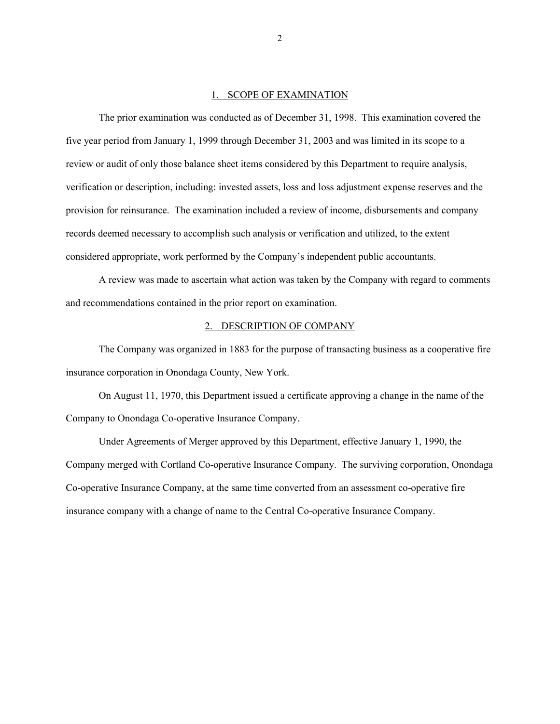#### 1. SCOPE OF EXAMINATION

<span id="page-3-0"></span> records deemed necessary to accomplish such analysis or verification and utilized, to the extent The prior examination was conducted as of December 31, 1998. This examination covered the five year period from January 1, 1999 through December 31, 2003 and was limited in its scope to a review or audit of only those balance sheet items considered by this Department to require analysis, verification or description, including: invested assets, loss and loss adjustment expense reserves and the provision for reinsurance. The examination included a review of income, disbursements and company considered appropriate, work performed by the Company's independent public accountants.

A review was made to ascertain what action was taken by the Company with regard to comments and recommendations contained in the prior report on examination.

#### 2. DESCRIPTION OF COMPANY

The Company was organized in 1883 for the purpose of transacting business as a cooperative fire insurance corporation in Onondaga County, New York.

On August 11, 1970, this Department issued a certificate approving a change in the name of the Company to Onondaga Co-operative Insurance Company.

Under Agreements of Merger approved by this Department, effective January 1, 1990, the Company merged with Cortland Co-operative Insurance Company. The surviving corporation, Onondaga Co-operative Insurance Company, at the same time converted from an assessment co-operative fire insurance company with a change of name to the Central Co-operative Insurance Company.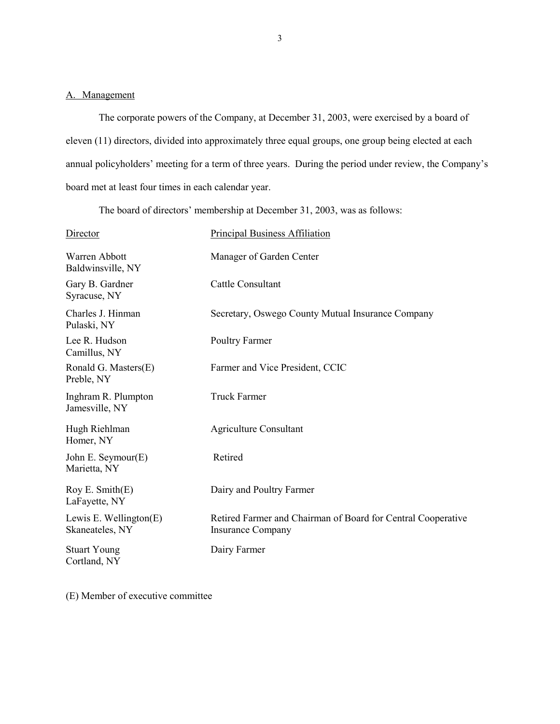## <span id="page-4-0"></span>A. Management

The corporate powers of the Company, at December 31, 2003, were exercised by a board of eleven (11) directors, divided into approximately three equal groups, one group being elected at each annual policyholders' meeting for a term of three years. During the period under review, the Company's board met at least four times in each calendar year.

The board of directors' membership at December 31, 2003, was as follows:

| Director                                     | <b>Principal Business Affiliation</b>                                                    |
|----------------------------------------------|------------------------------------------------------------------------------------------|
| Warren Abbott<br>Baldwinsville, NY           | Manager of Garden Center                                                                 |
| Gary B. Gardner<br>Syracuse, NY              | Cattle Consultant                                                                        |
| Charles J. Hinman<br>Pulaski, NY             | Secretary, Oswego County Mutual Insurance Company                                        |
| Lee R. Hudson<br>Camillus, NY                | Poultry Farmer                                                                           |
| Ronald G. Masters(E)<br>Preble, NY           | Farmer and Vice President, CCIC                                                          |
| Inghram R. Plumpton<br>Jamesville, NY        | <b>Truck Farmer</b>                                                                      |
| Hugh Riehlman<br>Homer, NY                   | <b>Agriculture Consultant</b>                                                            |
| John E. Seymour $(E)$<br>Marietta, NY        | Retired                                                                                  |
| Roy E. $Smith(E)$<br>LaFayette, NY           | Dairy and Poultry Farmer                                                                 |
| Lewis E. Wellington $(E)$<br>Skaneateles, NY | Retired Farmer and Chairman of Board for Central Cooperative<br><b>Insurance Company</b> |
| <b>Stuart Young</b><br>Cortland, NY          | Dairy Farmer                                                                             |

(E) Member of executive committee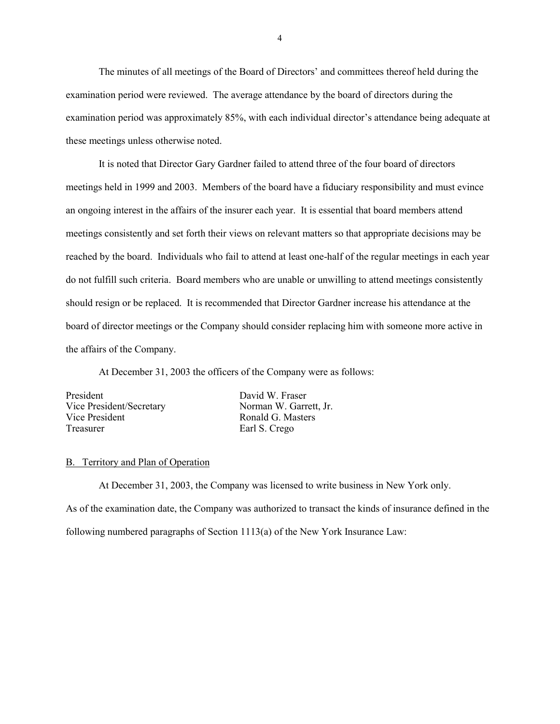<span id="page-5-0"></span>The minutes of all meetings of the Board of Directors' and committees thereof held during the examination period were reviewed. The average attendance by the board of directors during the examination period was approximately 85%, with each individual director's attendance being adequate at these meetings unless otherwise noted.

It is noted that Director Gary Gardner failed to attend three of the four board of directors meetings held in 1999 and 2003. Members of the board have a fiduciary responsibility and must evince an ongoing interest in the affairs of the insurer each year. It is essential that board members attend meetings consistently and set forth their views on relevant matters so that appropriate decisions may be reached by the board. Individuals who fail to attend at least one-half of the regular meetings in each year do not fulfill such criteria. Board members who are unable or unwilling to attend meetings consistently should resign or be replaced. It is recommended that Director Gardner increase his attendance at the board of director meetings or the Company should consider replacing him with someone more active in the affairs of the Company.

At December 31, 2003 the officers of the Company were as follows:

| President                | David W. Fraser        |
|--------------------------|------------------------|
| Vice President/Secretary | Norman W. Garrett, Jr. |
| Vice President           | Ronald G. Masters      |
| Treasurer                | Earl S. Crego          |
|                          |                        |

## B. Territory and Plan of Operation

At December 31, 2003, the Company was licensed to write business in New York only. As of the examination date, the Company was authorized to transact the kinds of insurance defined in the following numbered paragraphs of Section 1113(a) of the New York Insurance Law: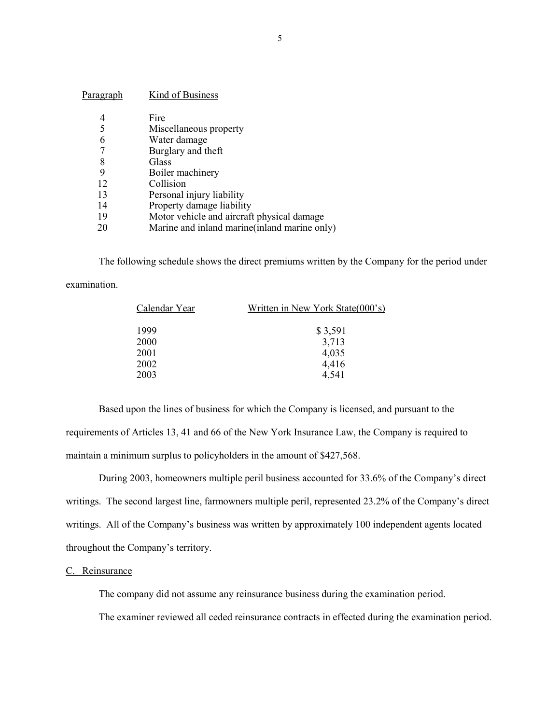<span id="page-6-0"></span>

| P <u>aragraph</u> | Kind of Business                              |
|-------------------|-----------------------------------------------|
| 4                 | Fire                                          |
| 5                 | Miscellaneous property                        |
| 6                 | Water damage                                  |
|                   | Burglary and theft                            |
| 8                 | Glass                                         |
| 9                 | Boiler machinery                              |
| 12                | Collision                                     |
| 13                | Personal injury liability                     |
| 14                | Property damage liability                     |
| 19                | Motor vehicle and aircraft physical damage    |
| 20                | Marine and inland marine (inland marine only) |

The following schedule shows the direct premiums written by the Company for the period under

examination.

| Written in New York State(000's) |  |
|----------------------------------|--|
| \$3,591                          |  |
| 3,713                            |  |
| 4,035                            |  |
| 4,416                            |  |
| 4,541                            |  |
|                                  |  |

Based upon the lines of business for which the Company is licensed, and pursuant to the requirements of Articles 13, 41 and 66 of the New York Insurance Law, the Company is required to maintain a minimum surplus to policyholders in the amount of \$427,568.

During 2003, homeowners multiple peril business accounted for 33.6% of the Company's direct writings. The second largest line, farmowners multiple peril, represented 23.2% of the Company's direct writings. All of the Company's business was written by approximately 100 independent agents located throughout the Company's territory.

#### C. Reinsurance

The company did not assume any reinsurance business during the examination period.

The examiner reviewed all ceded reinsurance contracts in effected during the examination period.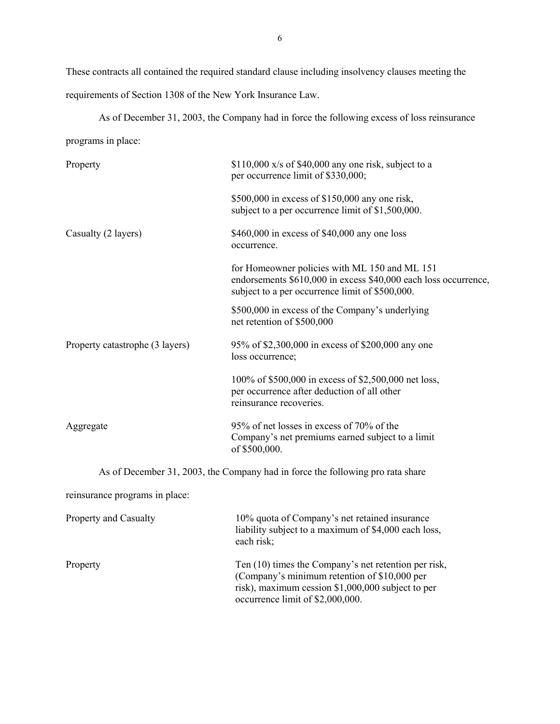These contracts all contained the required standard clause including insolvency clauses meeting the requirements of Section 1308 of the New York Insurance Law.

As of December 31, 2003, the Company had in force the following excess of loss reinsurance programs in place: Property \$110,000 x/s of \$40,000 any one risk, subject to a

|                                 | per occurrence limit of \$330,000;                                                                                                                                  |
|---------------------------------|---------------------------------------------------------------------------------------------------------------------------------------------------------------------|
|                                 | \$500,000 in excess of \$150,000 any one risk,<br>subject to a per occurrence limit of \$1,500,000.                                                                 |
| Casualty (2 layers)             | \$460,000 in excess of \$40,000 any one loss<br>occurrence.                                                                                                         |
|                                 | for Homeowner policies with ML 150 and ML 151<br>endorsements \$610,000 in excess \$40,000 each loss occurrence,<br>subject to a per occurrence limit of \$500,000. |
|                                 | \$500,000 in excess of the Company's underlying<br>net retention of \$500,000                                                                                       |
| Property catastrophe (3 layers) | 95% of \$2,300,000 in excess of \$200,000 any one<br>loss occurrence;                                                                                               |
|                                 | 100% of \$500,000 in excess of \$2,500,000 net loss,<br>per occurrence after deduction of all other<br>reinsurance recoveries.                                      |
| Aggregate                       | 95% of net losses in excess of 70% of the<br>Company's net premiums earned subject to a limit<br>of \$500,000.                                                      |
|                                 | As of December 31, 2003, the Company had in force the following pro rata share                                                                                      |
| reinsurance programs in place:  |                                                                                                                                                                     |
|                                 |                                                                                                                                                                     |

| <b>Property and Casualty</b> | 10% quota of Company's net retained insurance<br>liability subject to a maximum of \$4,000 each loss,<br>each risk;                                                                           |
|------------------------------|-----------------------------------------------------------------------------------------------------------------------------------------------------------------------------------------------|
| Property                     | Ten (10) times the Company's net retention per risk,<br>(Company's minimum retention of \$10,000 per<br>risk), maximum cession \$1,000,000 subject to per<br>occurrence limit of \$2,000,000. |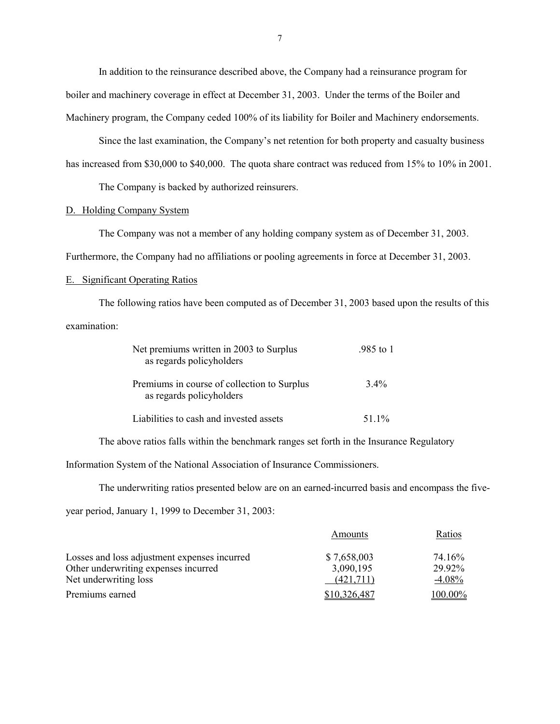In addition to the reinsurance described above, the Company had a reinsurance program for boiler and machinery coverage in effect at December 31, 2003. Under the terms of the Boiler and Machinery program, the Company ceded 100% of its liability for Boiler and Machinery endorsements.

Since the last examination, the Company's net retention for both property and casualty business

has increased from \$30,000 to \$40,000. The quota share contract was reduced from 15% to 10% in 2001.

The Company is backed by authorized reinsurers.

## D. Holding Company System

The Company was not a member of any holding company system as of December 31, 2003.

Furthermore, the Company had no affiliations or pooling agreements in force at December 31, 2003.

### E. Significant Operating Ratios

The following ratios have been computed as of December 31, 2003 based upon the results of this examination:

| Net premiums written in 2003 to Surplus<br>as regards policyholders     | .985 to 1 |
|-------------------------------------------------------------------------|-----------|
| Premiums in course of collection to Surplus<br>as regards policyholders | $3.4\%$   |
| Liabilities to cash and invested assets                                 | 51.1%     |

The above ratios falls within the benchmark ranges set forth in the Insurance Regulatory

Information System of the National Association of Insurance Commissioners.

The underwriting ratios presented below are on an earned-incurred basis and encompass the five-

year period, January 1, 1999 to December 31, 2003:

|                                              | Amounts      | Ratios   |
|----------------------------------------------|--------------|----------|
| Losses and loss adjustment expenses incurred | \$7,658,003  | 74.16%   |
| Other underwriting expenses incurred         | 3,090,195    | 29.92%   |
| Net underwriting loss                        | (421.711)    | $-4.08%$ |
| Premiums earned                              | \$10.326.487 | 100.00%  |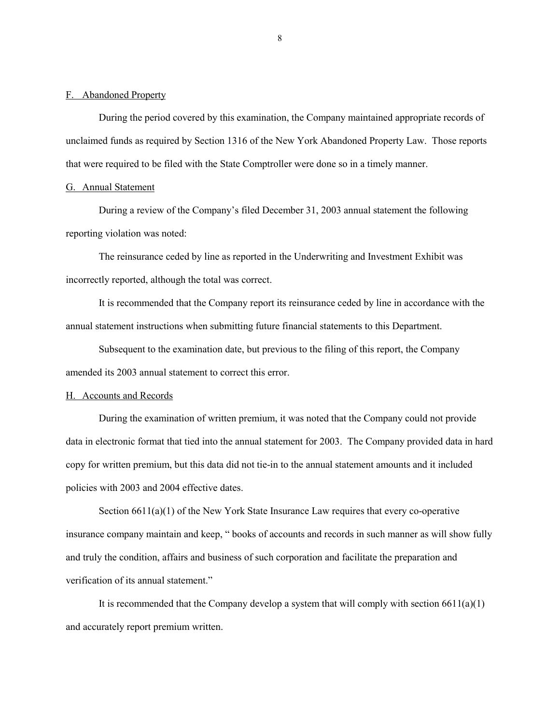#### <span id="page-9-0"></span>F. Abandoned Property

During the period covered by this examination, the Company maintained appropriate records of unclaimed funds as required by Section 1316 of the New York Abandoned Property Law. Those reports that were required to be filed with the State Comptroller were done so in a timely manner.

## G. Annual Statement

During a review of the Company's filed December 31, 2003 annual statement the following reporting violation was noted:

The reinsurance ceded by line as reported in the Underwriting and Investment Exhibit was incorrectly reported, although the total was correct.

It is recommended that the Company report its reinsurance ceded by line in accordance with the annual statement instructions when submitting future financial statements to this Department.

Subsequent to the examination date, but previous to the filing of this report, the Company amended its 2003 annual statement to correct this error.

#### H. Accounts and Records

During the examination of written premium, it was noted that the Company could not provide data in electronic format that tied into the annual statement for 2003. The Company provided data in hard copy for written premium, but this data did not tie-in to the annual statement amounts and it included policies with 2003 and 2004 effective dates.

Section  $6611(a)(1)$  of the New York State Insurance Law requires that every co-operative insurance company maintain and keep, " books of accounts and records in such manner as will show fully and truly the condition, affairs and business of such corporation and facilitate the preparation and verification of its annual statement."

It is recommended that the Company develop a system that will comply with section  $6611(a)(1)$ and accurately report premium written.

8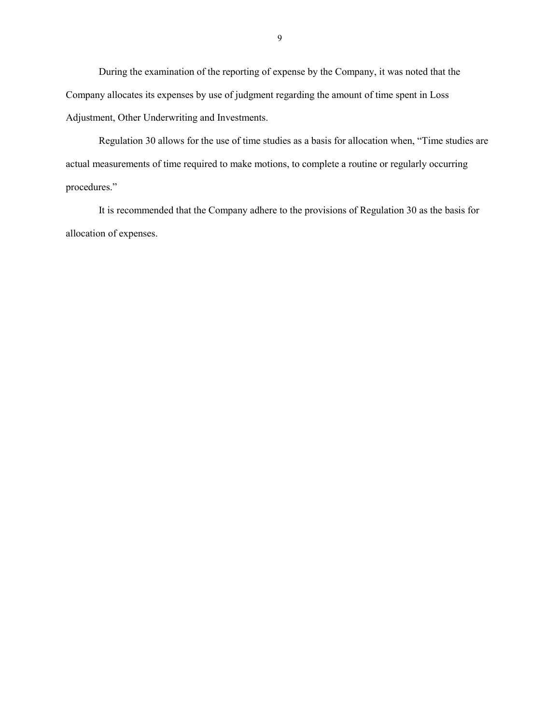During the examination of the reporting of expense by the Company, it was noted that the Company allocates its expenses by use of judgment regarding the amount of time spent in Loss Adjustment, Other Underwriting and Investments.

Regulation 30 allows for the use of time studies as a basis for allocation when, "Time studies are actual measurements of time required to make motions, to complete a routine or regularly occurring procedures."

It is recommended that the Company adhere to the provisions of Regulation 30 as the basis for allocation of expenses.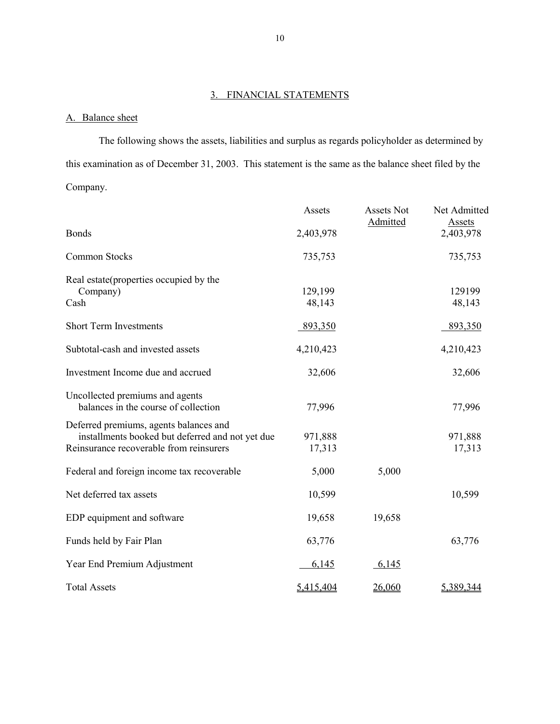## 3. FINANCIAL STATEMENTS

## A. Balance sheet

The following shows the assets, liabilities and surplus as regards policyholder as determined by this examination as of December 31, 2003. This statement is the same as the balance sheet filed by the Company.

|                                                                                                                                       | Assets            | Assets Not<br>Admitted | Net Admitted<br><b>Assets</b> |
|---------------------------------------------------------------------------------------------------------------------------------------|-------------------|------------------------|-------------------------------|
| <b>Bonds</b>                                                                                                                          | 2,403,978         |                        | 2,403,978                     |
| <b>Common Stocks</b>                                                                                                                  | 735,753           |                        | 735,753                       |
| Real estate(properties occupied by the<br>Company)<br>Cash                                                                            | 129,199<br>48,143 |                        | 129199<br>48,143              |
| <b>Short Term Investments</b>                                                                                                         | 893,350           |                        | 893,350                       |
| Subtotal-cash and invested assets                                                                                                     | 4,210,423         |                        | 4,210,423                     |
| Investment Income due and accrued                                                                                                     | 32,606            |                        | 32,606                        |
| Uncollected premiums and agents<br>balances in the course of collection                                                               | 77,996            |                        | 77,996                        |
| Deferred premiums, agents balances and<br>installments booked but deferred and not yet due<br>Reinsurance recoverable from reinsurers | 971,888<br>17,313 |                        | 971,888<br>17,313             |
| Federal and foreign income tax recoverable                                                                                            | 5,000             | 5,000                  |                               |
| Net deferred tax assets                                                                                                               | 10,599            |                        | 10,599                        |
| EDP equipment and software                                                                                                            | 19,658            | 19,658                 |                               |
| Funds held by Fair Plan                                                                                                               | 63,776            |                        | 63,776                        |
| Year End Premium Adjustment                                                                                                           | 6,145             | 6,145                  |                               |
| <b>Total Assets</b>                                                                                                                   | 5,415,404         | 26,060                 | 5,389,344                     |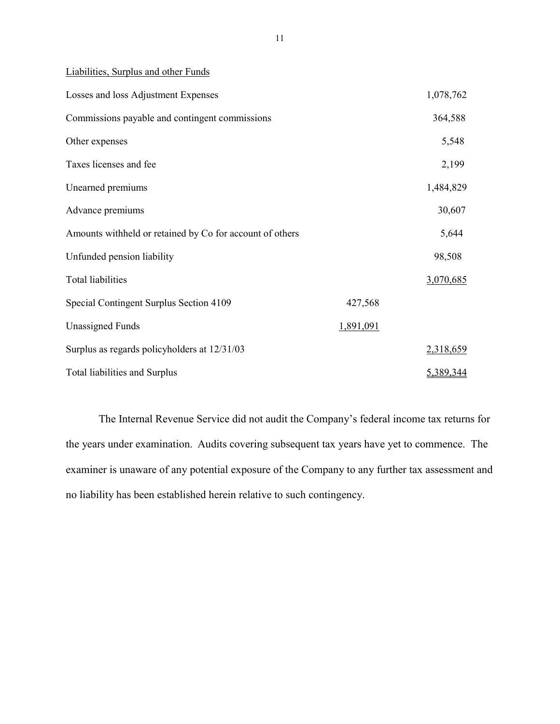Liabilities, Surplus and other Funds

| Losses and loss Adjustment Expenses                      |           | 1,078,762        |
|----------------------------------------------------------|-----------|------------------|
| Commissions payable and contingent commissions           |           | 364,588          |
| Other expenses                                           |           | 5,548            |
| Taxes licenses and fee                                   |           | 2,199            |
| Unearned premiums                                        |           | 1,484,829        |
| Advance premiums                                         |           | 30,607           |
| Amounts withheld or retained by Co for account of others |           | 5,644            |
| Unfunded pension liability                               |           | 98,508           |
| Total liabilities                                        |           | 3,070,685        |
| Special Contingent Surplus Section 4109                  | 427,568   |                  |
| <b>Unassigned Funds</b>                                  | 1,891,091 |                  |
| Surplus as regards policyholders at 12/31/03             |           | 2,318,659        |
| <b>Total liabilities and Surplus</b>                     |           | <u>5,389,344</u> |

 the years under examination. Audits covering subsequent tax years have yet to commence. The The Internal Revenue Service did not audit the Company's federal income tax returns for examiner is unaware of any potential exposure of the Company to any further tax assessment and no liability has been established herein relative to such contingency.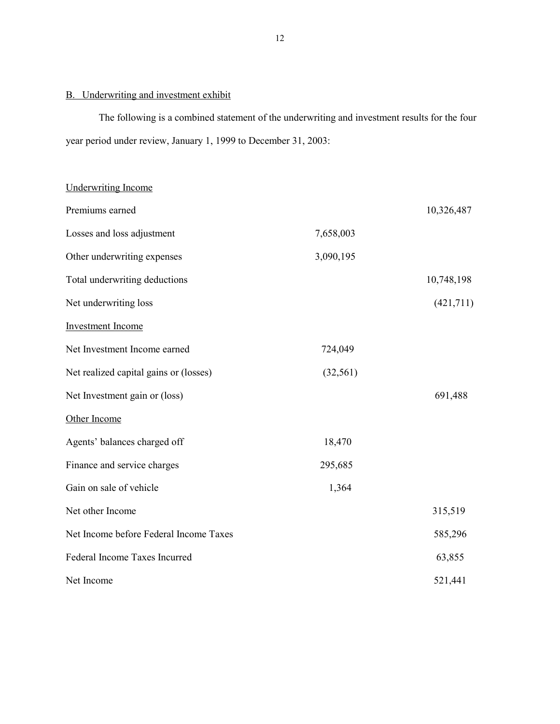## B. Underwriting and investment exhibit

The following is a combined statement of the underwriting and investment results for the four year period under review, January 1, 1999 to December 31, 2003:

| <b>Underwriting Income</b>             |           |            |
|----------------------------------------|-----------|------------|
| Premiums earned                        |           | 10,326,487 |
| Losses and loss adjustment             | 7,658,003 |            |
| Other underwriting expenses            | 3,090,195 |            |
| Total underwriting deductions          |           | 10,748,198 |
| Net underwriting loss                  |           | (421,711)  |
| <b>Investment Income</b>               |           |            |
| Net Investment Income earned           | 724,049   |            |
| Net realized capital gains or (losses) | (32, 561) |            |
| Net Investment gain or (loss)          |           | 691,488    |
| Other Income                           |           |            |
| Agents' balances charged off           | 18,470    |            |
| Finance and service charges            | 295,685   |            |
| Gain on sale of vehicle                | 1,364     |            |
| Net other Income                       |           | 315,519    |
| Net Income before Federal Income Taxes |           | 585,296    |
| Federal Income Taxes Incurred          |           | 63,855     |
| Net Income                             |           | 521,441    |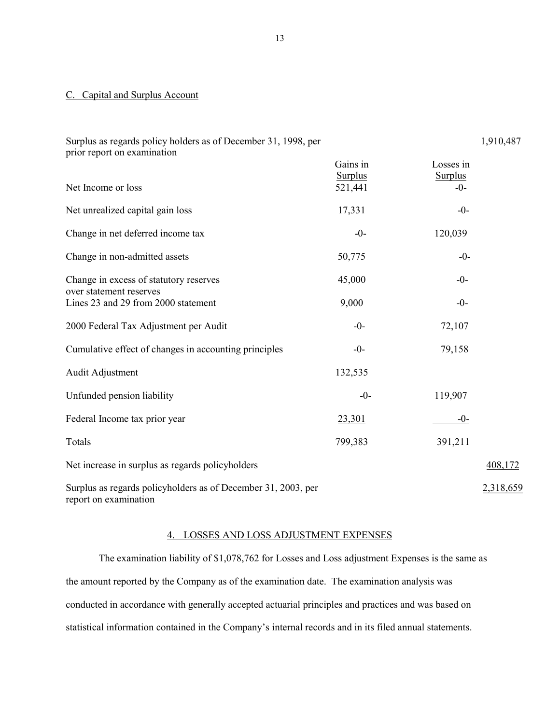### C. Capital and Surplus Account

| Surplus as regards policy holders as of December 31, 1998, per<br>prior report on examination |                                       |                                      | 1,910,487 |
|-----------------------------------------------------------------------------------------------|---------------------------------------|--------------------------------------|-----------|
| Net Income or loss                                                                            | Gains in<br><b>Surplus</b><br>521,441 | Losses in<br><b>Surplus</b><br>$-0-$ |           |
| Net unrealized capital gain loss                                                              | 17,331                                | $-0-$                                |           |
| Change in net deferred income tax                                                             | $-0-$                                 | 120,039                              |           |
| Change in non-admitted assets                                                                 | 50,775                                | $-0-$                                |           |
| Change in excess of statutory reserves                                                        | 45,000                                | $-0-$                                |           |
| over statement reserves<br>Lines 23 and 29 from 2000 statement                                | 9,000                                 | $-0-$                                |           |
| 2000 Federal Tax Adjustment per Audit                                                         | $-0-$                                 | 72,107                               |           |
| Cumulative effect of changes in accounting principles                                         | $-0-$                                 | 79,158                               |           |
| Audit Adjustment                                                                              | 132,535                               |                                      |           |
| Unfunded pension liability                                                                    | $-0-$                                 | 119,907                              |           |
| Federal Income tax prior year                                                                 | 23,301                                | $-0-$                                |           |
| Totals                                                                                        | 799,383                               | 391,211                              |           |
| Net increase in surplus as regards policyholders                                              |                                       |                                      | 408,172   |
| Surplus as regards policyholders as of December 31, 2003, per<br>report on examination        |                                       |                                      | 2,318,659 |

## 4. LOSSES AND LOSS ADJUSTMENT EXPENSES

The examination liability of \$1,078,762 for Losses and Loss adjustment Expenses is the same as the amount reported by the Company as of the examination date. The examination analysis was conducted in accordance with generally accepted actuarial principles and practices and was based on statistical information contained in the Company's internal records and in its filed annual statements.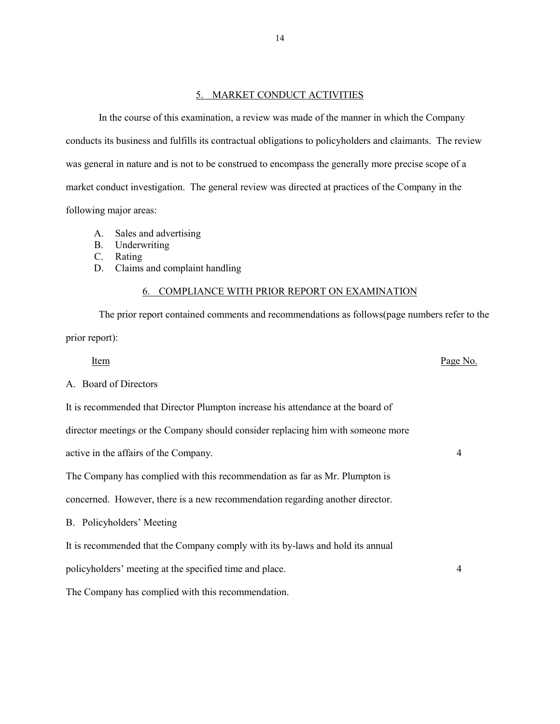### 5. MARKET CONDUCT ACTIVITIES

<span id="page-15-0"></span>In the course of this examination, a review was made of the manner in which the Company conducts its business and fulfills its contractual obligations to policyholders and claimants. The review was general in nature and is not to be construed to encompass the generally more precise scope of a market conduct investigation. The general review was directed at practices of the Company in the following major areas:

- A. Sales and advertising
- B. Underwriting
- C. Rating
- D. Claims and complaint handling

## 6. COMPLIANCE WITH PRIOR REPORT ON EXAMINATION

The prior report contained comments and recommendations as follows(page numbers refer to the prior report):

Item Page No.

## A. Board of Directors

It is recommended that Director Plumpton increase his attendance at the board of

director meetings or the Company should consider replacing him with someone more

active in the affairs of the Company. 4

The Company has complied with this recommendation as far as Mr. Plumpton is

concerned. However, there is a new recommendation regarding another director.

B. Policyholders' Meeting

It is recommended that the Company comply with its by-laws and hold its annual

policyholders' meeting at the specified time and place. 4

The Company has complied with this recommendation.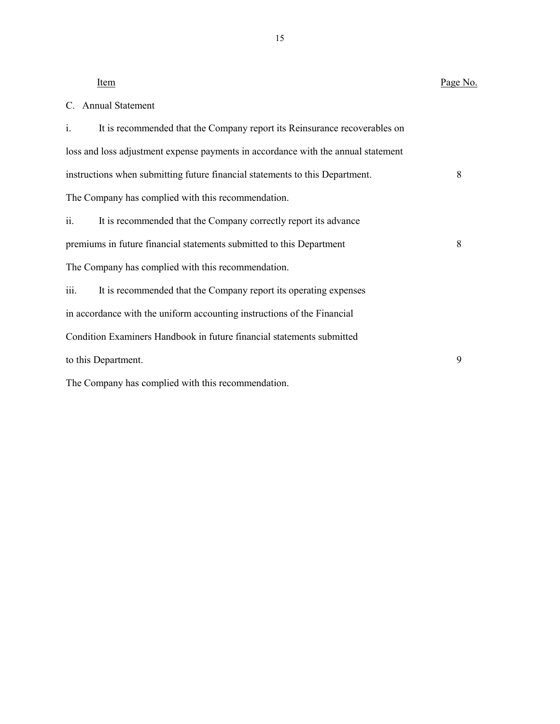| Item                                                                              | Page No. |
|-----------------------------------------------------------------------------------|----------|
| C. Annual Statement                                                               |          |
| i.<br>It is recommended that the Company report its Reinsurance recoverables on   |          |
| loss and loss adjustment expense payments in accordance with the annual statement |          |
| instructions when submitting future financial statements to this Department.      | 8        |
| The Company has complied with this recommendation.                                |          |
| ii.<br>It is recommended that the Company correctly report its advance            |          |
| premiums in future financial statements submitted to this Department              | 8        |
| The Company has complied with this recommendation.                                |          |
| iii.<br>It is recommended that the Company report its operating expenses          |          |
| in accordance with the uniform accounting instructions of the Financial           |          |
| Condition Examiners Handbook in future financial statements submitted             |          |
| to this Department.                                                               | 9        |
| The Company has complied with this recommendation.                                |          |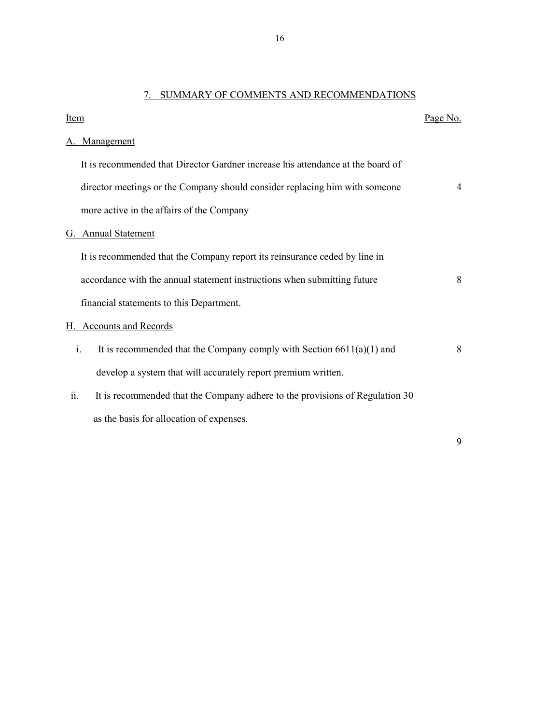## 7. SUMMARY OF COMMENTS AND RECOMMENDATIONS

| Item |                                                                                           | Page No. |
|------|-------------------------------------------------------------------------------------------|----------|
|      | Management                                                                                |          |
|      | It is recommended that Director Gardner increase his attendance at the board of           |          |
|      | director meetings or the Company should consider replacing him with someone               | 4        |
|      | more active in the affairs of the Company                                                 |          |
| G.   | <b>Annual Statement</b>                                                                   |          |
|      | It is recommended that the Company report its reinsurance ceded by line in                |          |
|      | accordance with the annual statement instructions when submitting future                  | 8        |
|      | financial statements to this Department.                                                  |          |
| Н.   | <b>Accounts and Records</b>                                                               |          |
|      | $\mathbf{i}$ .<br>It is recommended that the Company comply with Section $6611(a)(1)$ and | 8        |
|      | develop a system that will accurately report premium written.                             |          |
| ii.  | It is recommended that the Company adhere to the provisions of Regulation 30              |          |
|      | as the basis for allocation of expenses.                                                  |          |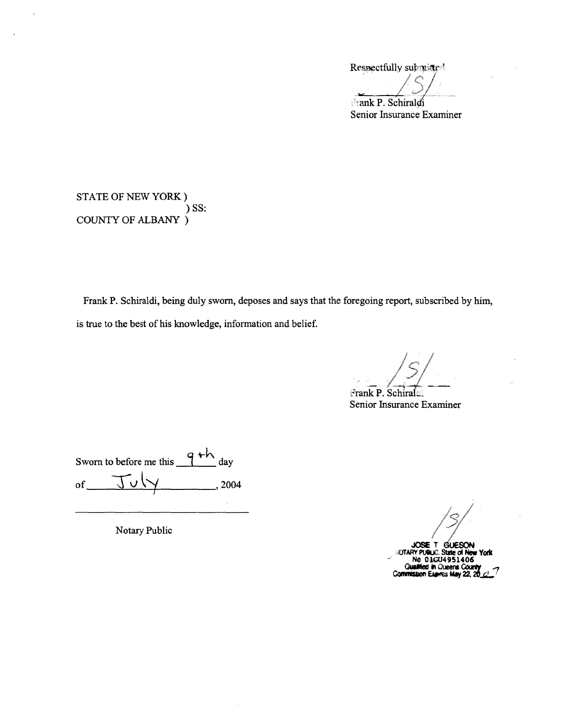Respectfully submitted

*IS/* **Frank P. Schiraldi** 

Senior Insurance Examiner

STATE OF NEW YORK) ) SS: COUNTY OF ALBANY )

Frank P. Schiraldi, being duly sworn, deposes and says that the foregoing report, subscribed by him, is true to the best of his knowledge, information and belief.

*Frank P. Schirals* 

Senior Insurance Examiner

Sworn to before me this  $\frac{q+h}{h}$ day of  $J\cup\forall$ , 2004

*S/S/S* JOSE'r **GUESON**<br>GUESON<br>State of New York

**i/.JrAAY PUIUC. State**  ../ **No 01004951406 Oualified in Oue Commission Exames**